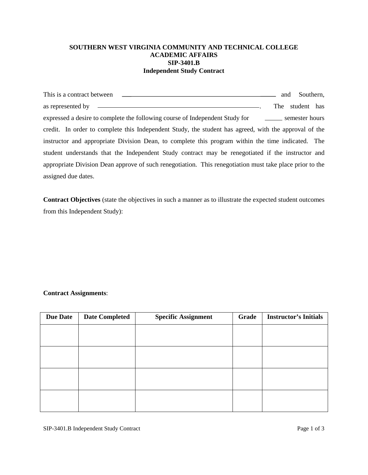## **SOUTHERN WEST VIRGINIA COMMUNITY AND TECHNICAL COLLEGE ACADEMIC AFFAIRS SIP-3401.B Independent Study Contract**

| This is a contract between                                                                               | and | Southern,       |  |
|----------------------------------------------------------------------------------------------------------|-----|-----------------|--|
| as represented by ________                                                                               |     | The student has |  |
| expressed a desire to complete the following course of Independent Study for semester hours              |     |                 |  |
| credit. In order to complete this Independent Study, the student has agreed, with the approval of the    |     |                 |  |
| instructor and appropriate Division Dean, to complete this program within the time indicated. The        |     |                 |  |
| student understands that the Independent Study contract may be renegotiated if the instructor and        |     |                 |  |
| appropriate Division Dean approve of such renegotiation. This renegotiation must take place prior to the |     |                 |  |
| assigned due dates.                                                                                      |     |                 |  |

**Contract Objectives** (state the objectives in such a manner as to illustrate the expected student outcomes from this Independent Study):

## **Contract Assignments**:

| <b>Due Date</b> | <b>Date Completed</b> | <b>Specific Assignment</b> | Grade | <b>Instructor's Initials</b> |
|-----------------|-----------------------|----------------------------|-------|------------------------------|
|                 |                       |                            |       |                              |
|                 |                       |                            |       |                              |
|                 |                       |                            |       |                              |
|                 |                       |                            |       |                              |
|                 |                       |                            |       |                              |
|                 |                       |                            |       |                              |
|                 |                       |                            |       |                              |
|                 |                       |                            |       |                              |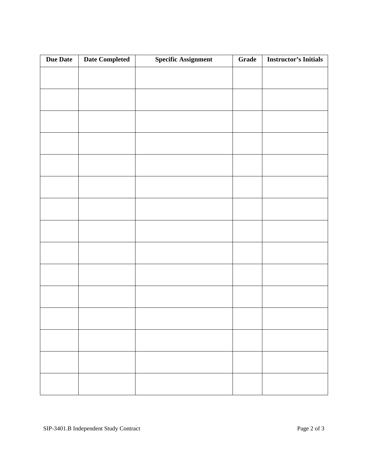| Due Date | <b>Date Completed</b> | <b>Specific Assignment</b> | Grade | <b>Instructor's Initials</b> |
|----------|-----------------------|----------------------------|-------|------------------------------|
|          |                       |                            |       |                              |
|          |                       |                            |       |                              |
|          |                       |                            |       |                              |
|          |                       |                            |       |                              |
|          |                       |                            |       |                              |
|          |                       |                            |       |                              |
|          |                       |                            |       |                              |
|          |                       |                            |       |                              |
|          |                       |                            |       |                              |
|          |                       |                            |       |                              |
|          |                       |                            |       |                              |
|          |                       |                            |       |                              |
|          |                       |                            |       |                              |
|          |                       |                            |       |                              |
|          |                       |                            |       |                              |